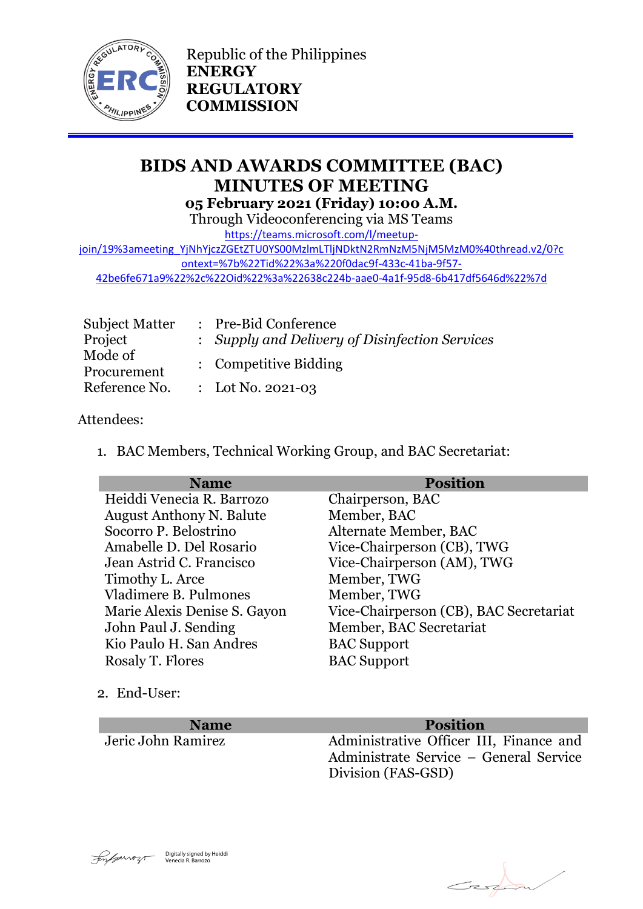

Republic of the Philippines **ENERGY REGULATORY COMMISSION**

# **BIDS AND AWARDS COMMITTEE (BAC) MINUTES OF MEETING 05 February 2021 (Friday) 10:00 A.M.**

Through Videoconferencing via MS Teams

[https://teams.microsoft.com/l/meetup-](https://teams.microsoft.com/l/meetup-join/19%3ameeting_YjNhYjczZGEtZTU0YS00MzlmLTljNDktN2RmNzM5NjM5MzM0%40thread.v2/0?context=%7b%22Tid%22%3a%220f0dac9f-433c-41ba-9f57-42be6fe671a9%22%2c%22Oid%22%3a%22638c224b-aae0-4a1f-95d8-6b417df5646d%22%7d)

[join/19%3ameeting\\_YjNhYjczZGEtZTU0YS00MzlmLTljNDktN2RmNzM5NjM5MzM0%40thread.v2/0?c](https://teams.microsoft.com/l/meetup-join/19%3ameeting_YjNhYjczZGEtZTU0YS00MzlmLTljNDktN2RmNzM5NjM5MzM0%40thread.v2/0?context=%7b%22Tid%22%3a%220f0dac9f-433c-41ba-9f57-42be6fe671a9%22%2c%22Oid%22%3a%22638c224b-aae0-4a1f-95d8-6b417df5646d%22%7d) [ontext=%7b%22Tid%22%3a%220f0dac9f-433c-41ba-9f57-](https://teams.microsoft.com/l/meetup-join/19%3ameeting_YjNhYjczZGEtZTU0YS00MzlmLTljNDktN2RmNzM5NjM5MzM0%40thread.v2/0?context=%7b%22Tid%22%3a%220f0dac9f-433c-41ba-9f57-42be6fe671a9%22%2c%22Oid%22%3a%22638c224b-aae0-4a1f-95d8-6b417df5646d%22%7d)

[42be6fe671a9%22%2c%22Oid%22%3a%22638c224b-aae0-4a1f-95d8-6b417df5646d%22%7d](https://teams.microsoft.com/l/meetup-join/19%3ameeting_YjNhYjczZGEtZTU0YS00MzlmLTljNDktN2RmNzM5NjM5MzM0%40thread.v2/0?context=%7b%22Tid%22%3a%220f0dac9f-433c-41ba-9f57-42be6fe671a9%22%2c%22Oid%22%3a%22638c224b-aae0-4a1f-95d8-6b417df5646d%22%7d)

| <b>Subject Matter</b>  | : Pre-Bid Conference                           |
|------------------------|------------------------------------------------|
| Project                | : Supply and Delivery of Disinfection Services |
| Mode of<br>Procurement | : Competitive Bidding                          |
| Reference No.          | : Lot No. 2021-03                              |

#### Attendees:

1. BAC Members, Technical Working Group, and BAC Secretariat:

| <b>Name</b>                     | <b>Position</b>                        |
|---------------------------------|----------------------------------------|
| Heiddi Venecia R. Barrozo       | Chairperson, BAC                       |
| <b>August Anthony N. Balute</b> | Member, BAC                            |
| Socorro P. Belostrino           | Alternate Member, BAC                  |
| Amabelle D. Del Rosario         | Vice-Chairperson (CB), TWG             |
| Jean Astrid C. Francisco        | Vice-Chairperson (AM), TWG             |
| Timothy L. Arce                 | Member, TWG                            |
| Vladimere B. Pulmones           | Member, TWG                            |
| Marie Alexis Denise S. Gayon    | Vice-Chairperson (CB), BAC Secretariat |
| John Paul J. Sending            | Member, BAC Secretariat                |
| Kio Paulo H. San Andres         | <b>BAC Support</b>                     |
| Rosaly T. Flores                | <b>BAC</b> Support                     |

2. End-User:

**Name Position**<br>*Name* **<b>Position**<br>*Administrative Officer III* Administrative Officer III, Finance and Administrate Service – General Service Division (FAS-GSD)



Ersk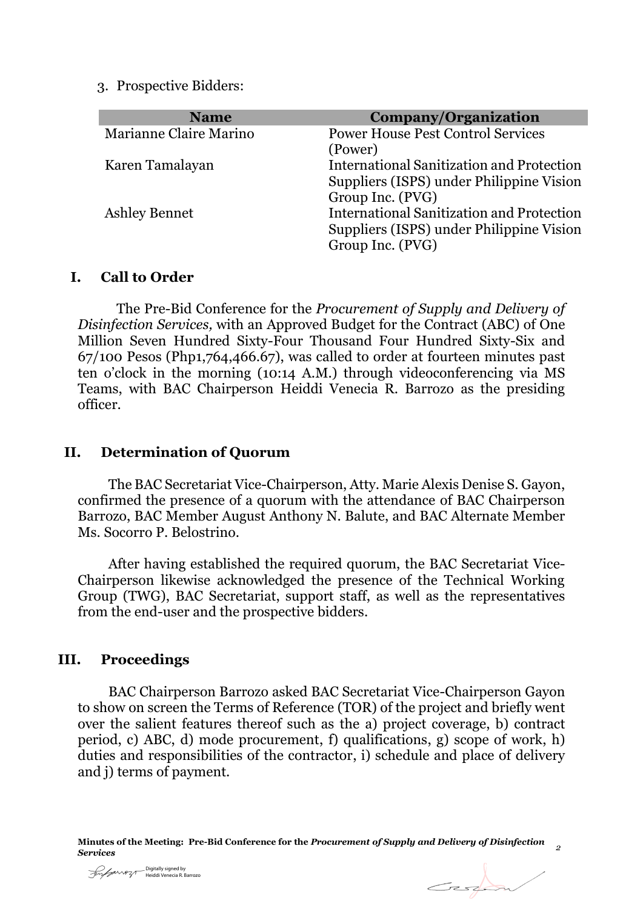3. Prospective Bidders:

| <b>Name</b>            | Company/Organization                             |
|------------------------|--------------------------------------------------|
| Marianne Claire Marino | <b>Power House Pest Control Services</b>         |
|                        | (Power)                                          |
| Karen Tamalayan        | <b>International Sanitization and Protection</b> |
|                        | Suppliers (ISPS) under Philippine Vision         |
|                        | Group Inc. (PVG)                                 |
| <b>Ashley Bennet</b>   | <b>International Sanitization and Protection</b> |
|                        | Suppliers (ISPS) under Philippine Vision         |
|                        | Group Inc. (PVG)                                 |

#### **I. Call to Order**

The Pre-Bid Conference for the *Procurement of Supply and Delivery of Disinfection Services,* with an Approved Budget for the Contract (ABC) of One Million Seven Hundred Sixty-Four Thousand Four Hundred Sixty-Six and 67/100 Pesos (Php1,764,466.67), was called to order at fourteen minutes past ten o'clock in the morning (10:14 A.M.) through videoconferencing via MS Teams, with BAC Chairperson Heiddi Venecia R. Barrozo as the presiding officer.

## **II. Determination of Quorum**

The BAC Secretariat Vice-Chairperson, Atty. Marie Alexis Denise S. Gayon, confirmed the presence of a quorum with the attendance of BAC Chairperson Barrozo, BAC Member August Anthony N. Balute, and BAC Alternate Member Ms. Socorro P. Belostrino.

After having established the required quorum, the BAC Secretariat Vice-Chairperson likewise acknowledged the presence of the Technical Working Group (TWG), BAC Secretariat, support staff, as well as the representatives from the end-user and the prospective bidders.

## **III. Proceedings**

BAC Chairperson Barrozo asked BAC Secretariat Vice-Chairperson Gayon to show on screen the Terms of Reference (TOR) of the project and briefly went over the salient features thereof such as the a) project coverage, b) contract period, c) ABC, d) mode procurement, f) qualifications, g) scope of work, h) duties and responsibilities of the contractor, i) schedule and place of delivery and j) terms of payment.

Digitally signed by Heiddi Venecia R. Barrozo

Geoffen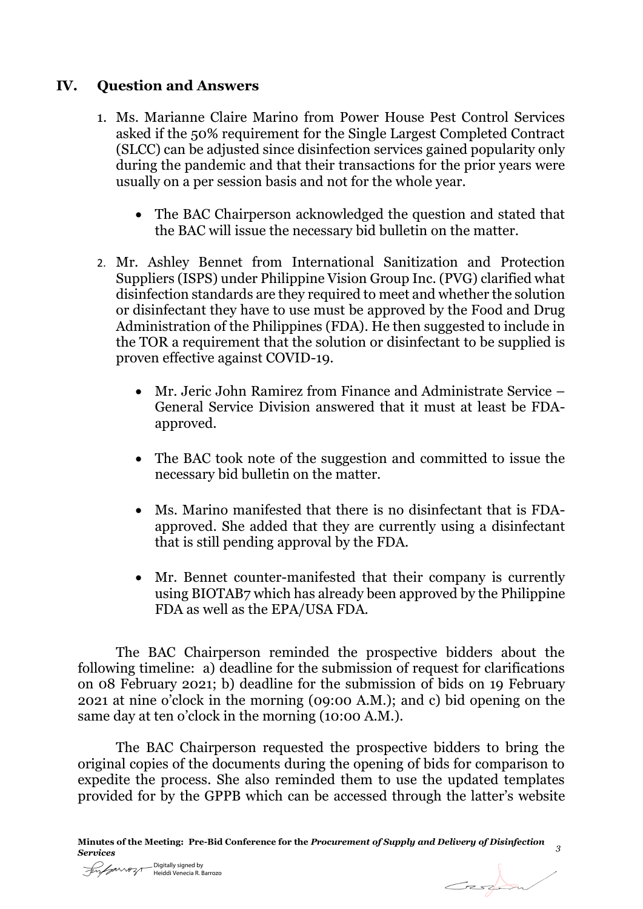# **IV. Question and Answers**

- 1. Ms. Marianne Claire Marino from Power House Pest Control Services asked if the 50% requirement for the Single Largest Completed Contract (SLCC) can be adjusted since disinfection services gained popularity only during the pandemic and that their transactions for the prior years were usually on a per session basis and not for the whole year.
	- The BAC Chairperson acknowledged the question and stated that the BAC will issue the necessary bid bulletin on the matter.
- 2. Mr. Ashley Bennet from International Sanitization and Protection Suppliers (ISPS) under Philippine Vision Group Inc. (PVG) clarified what disinfection standards are they required to meet and whether the solution or disinfectant they have to use must be approved by the Food and Drug Administration of the Philippines (FDA). He then suggested to include in the TOR a requirement that the solution or disinfectant to be supplied is proven effective against COVID-19.
	- Mr. Jeric John Ramirez from Finance and Administrate Service General Service Division answered that it must at least be FDAapproved.
	- The BAC took note of the suggestion and committed to issue the necessary bid bulletin on the matter.
	- Ms. Marino manifested that there is no disinfectant that is FDAapproved. She added that they are currently using a disinfectant that is still pending approval by the FDA.
	- Mr. Bennet counter-manifested that their company is currently using BIOTAB7 which has already been approved by the Philippine FDA as well as the EPA/USA FDA.

The BAC Chairperson reminded the prospective bidders about the following timeline: a) deadline for the submission of request for clarifications on 08 February 2021; b) deadline for the submission of bids on 19 February 2021 at nine o'clock in the morning (09:00 A.M.); and c) bid opening on the same day at ten o'clock in the morning (10:00 A.M.).

The BAC Chairperson requested the prospective bidders to bring the original copies of the documents during the opening of bids for comparison to expedite the process. She also reminded them to use the updated templates provided for by the GPPB which can be accessed through the latter's website

Esta